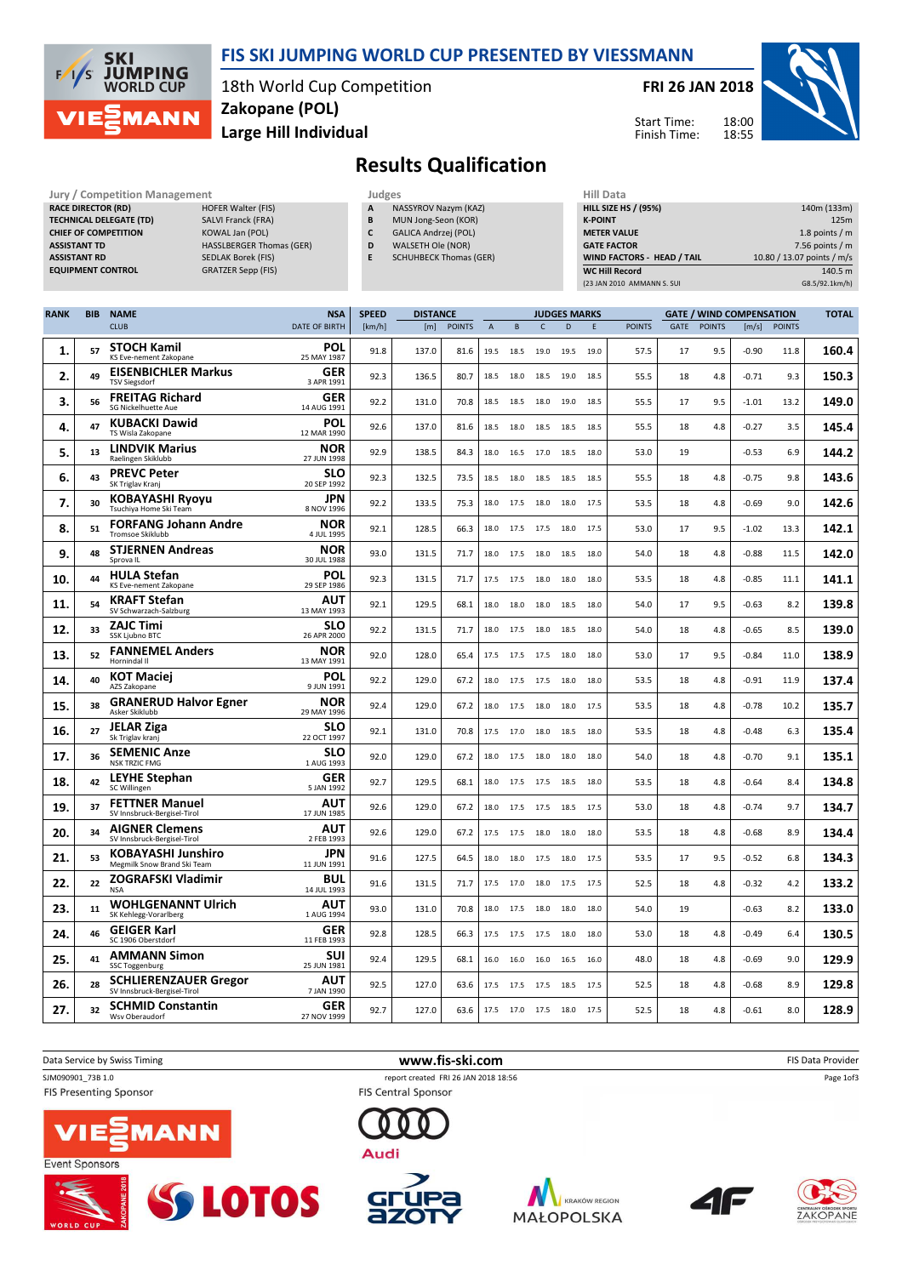

### FIS SKI JUMPING WORLD CUP PRESENTED BY VIESSMANN

18th World Cup Competition Large Hill Individual Zakopane (POL)

FRI 26 JAN 2018



Start Time: Finish Time:

# Results Qualification

| Jury / Competition Management  |                                 |   | Judges                        | <b>Hill Dat</b>  |
|--------------------------------|---------------------------------|---|-------------------------------|------------------|
| <b>RACE DIRECTOR (RD)</b>      | <b>HOFER Walter (FIS)</b>       | A | NASSYROV Nazym (KAZ)          | <b>HILL SIZE</b> |
| <b>TECHNICAL DELEGATE (TD)</b> | <b>SALVI Franck (FRA)</b>       | B | MUN Jong-Seon (KOR)           | <b>K-POINT</b>   |
| <b>CHIEF OF COMPETITION</b>    | KOWAL Jan (POL)                 |   | GALICA Andrzej (POL)          | <b>METER VA</b>  |
| <b>ASSISTANT TD</b>            | <b>HASSLBERGER Thomas (GER)</b> | D | WALSETH Ole (NOR)             | <b>GATE FAC</b>  |
| <b>ASSISTANT RD</b>            | <b>SEDLAK Borek (FIS)</b>       | E | <b>SCHUHBECK Thomas (GER)</b> | <b>WIND FA</b>   |
| <b>EQUIPMENT CONTROL</b>       | <b>GRATZER Sepp (FIS)</b>       |   |                               | <b>WC Hill R</b> |
|                                |                                 |   |                               | (23 JAN 201      |

- NASSYROV Nazym (KAZ) B MUN Jong-Seon (KOR) C GALICA Andrzej (POL)
- D WALSETH Ole (NOR)
- E SCHUHBECK Thomas (GER)

| niil Data                         |                            |
|-----------------------------------|----------------------------|
| <b>HILL SIZE HS / (95%)</b>       | 140m (133m)                |
| <b>K-POINT</b>                    | 125m                       |
| <b>METER VALUE</b>                | 1.8 points $/m$            |
| <b>GATE FACTOR</b>                | 7.56 points $/m$           |
| <b>WIND FACTORS - HEAD / TAIL</b> | 10.80 / 13.07 points / m/s |
| <b>WC Hill Record</b>             | 140.5 m                    |
| (23 JAN 2010 AMMANN S. SUI        | G8.5/92.1km/h)             |

| <b>RANK</b> | <b>BIB</b> | <b>NAME</b>                                                 | <b>NSA</b>                | <b>SPEED</b> | <b>DISTANCE</b> |               |      |      |              | <b>GATE / WIND COMPENSATION</b><br><b>JUDGES MARKS</b> |      |               |      |               | <b>TOTAL</b> |               |       |
|-------------|------------|-------------------------------------------------------------|---------------------------|--------------|-----------------|---------------|------|------|--------------|--------------------------------------------------------|------|---------------|------|---------------|--------------|---------------|-------|
|             |            | <b>CLUB</b>                                                 | <b>DATE OF BIRTH</b>      | [km/h]       | [m]             | <b>POINTS</b> | A    | B    | $\mathsf{C}$ | D                                                      | E    | <b>POINTS</b> | GATE | <b>POINTS</b> | [m/s]        | <b>POINTS</b> |       |
| 1.          | 57         | <b>STOCH Kamil</b><br><b>KS Eve-nement Zakopane</b>         | POL<br>25 MAY 1987        | 91.8         | 137.0           | 81.6          | 19.5 | 18.5 | 19.0         | 19.5                                                   | 19.0 | 57.5          | 17   | 9.5           | -0.90        | 11.8          | 160.4 |
| 2.          | 49         | <b>EISENBICHLER Markus</b><br><b>TSV Siegsdorf</b>          | GER<br>3 APR 1991         | 92.3         | 136.5           | 80.7          | 18.5 | 18.0 | 18.5         | 19.0                                                   | 18.5 | 55.5          | 18   | 4.8           | $-0.71$      | 9.3           | 150.3 |
| З.          | 56         | <b>FREITAG Richard</b><br><b>SG Nickelhuette Aue</b>        | GER<br>14 AUG 1991        | 92.2         | 131.0           | 70.8          | 18.5 | 18.5 | 18.0         | 19.0                                                   | 18.5 | 55.5          | 17   | 9.5           | $-1.01$      | 13.2          | 149.0 |
| 4.          | 47         | <b>KUBACKI Dawid</b><br>TS Wisla Zakopane                   | POL<br>12 MAR 1990        | 92.6         | 137.0           | 81.6          | 18.5 | 18.0 | 18.5         | 18.5                                                   | 18.5 | 55.5          | 18   | 4.8           | $-0.27$      | 3.5           | 145.4 |
| 5.          | 13         | <b>LINDVIK Marius</b><br>Raelingen Skiklubb                 | <b>NOR</b><br>27 JUN 1998 | 92.9         | 138.5           | 84.3          | 18.0 | 16.5 | 17.0         | 18.5                                                   | 18.0 | 53.0          | 19   |               | $-0.53$      | 6.9           | 144.2 |
| 6.          | 43         | <b>PREVC Peter</b><br>SK Triglav Kranj                      | SLO<br>20 SEP 1992        | 92.3         | 132.5           | 73.5          | 18.5 | 18.0 | 18.5         | 18.5                                                   | 18.5 | 55.5          | 18   | 4.8           | $-0.75$      | 9.8           | 143.6 |
| 7.          | 30         | <b>KOBAYASHI Ryoyu</b><br>Tsuchiya Home Ski Team            | JPN<br>8 NOV 1996         | 92.2         | 133.5           | 75.3          | 18.0 | 17.5 | 18.0         | 18.0                                                   | 17.5 | 53.5          | 18   | 4.8           | $-0.69$      | 9.0           | 142.6 |
| 8.          | 51         | <b>FORFANG Johann Andre</b><br><b>Tromsoe Skiklubb</b>      | <b>NOR</b><br>4 JUL 1995  | 92.1         | 128.5           | 66.3          | 18.0 | 17.5 | 17.5         | 18.0                                                   | 17.5 | 53.0          | 17   | 9.5           | $-1.02$      | 13.3          | 142.1 |
| 9.          | 48         | <b>STJERNEN Andreas</b><br>Sprova II.                       | <b>NOR</b><br>30 JUL 1988 | 93.0         | 131.5           | 71.7          | 18.0 | 17.5 | 18.0         | 18.5                                                   | 18.0 | 54.0          | 18   | 4.8           | $-0.88$      | 11.5          | 142.0 |
| 10.         | 44         | <b>HULA Stefan</b><br>KS Eve-nement Zakopane                | POL<br>29 SEP 1986        | 92.3         | 131.5           | 71.7          | 17.5 | 17.5 | 18.0         | 18.0                                                   | 18.0 | 53.5          | 18   | 4.8           | $-0.85$      | 11.1          | 141.1 |
| 11.         | 54         | <b>KRAFT Stefan</b><br>SV Schwarzach-Salzburg               | AUT<br>13 MAY 1993        | 92.1         | 129.5           | 68.1          | 18.0 | 18.0 | 18.0         | 18.5                                                   | 18.0 | 54.0          | 17   | 9.5           | $-0.63$      | 8.2           | 139.8 |
| 12.         | 33         | <b>ZAJC Timi</b><br>SSK Ljubno BTC                          | <b>SLO</b><br>26 APR 2000 | 92.2         | 131.5           | 71.7          | 18.0 | 17.5 | 18.0         | 18.5                                                   | 18.0 | 54.0          | 18   | 4.8           | $-0.65$      | 8.5           | 139.0 |
| 13.         | 52         | <b>FANNEMEL Anders</b><br>Hornindal II                      | <b>NOR</b><br>13 MAY 1991 | 92.0         | 128.0           | 65.4          | 17.5 | 17.5 | 17.5         | 18.0                                                   | 18.0 | 53.0          | 17   | 9.5           | $-0.84$      | 11.0          | 138.9 |
| 14.         | 40         | <b>KOT Maciei</b><br>AZS Zakopane                           | POL<br>9 JUN 1991         | 92.2         | 129.0           | 67.2          | 18.0 | 17.5 | 17.5         | 18.0                                                   | 18.0 | 53.5          | 18   | 4.8           | $-0.91$      | 11.9          | 137.4 |
| 15.         | 38         | <b>GRANERUD Halvor Egner</b><br>Asker Skiklubb              | <b>NOR</b><br>29 MAY 1996 | 92.4         | 129.0           | 67.2          | 18.0 | 17.5 | 18.0         | 18.0                                                   | 17.5 | 53.5          | 18   | 4.8           | $-0.78$      | 10.2          | 135.7 |
| 16.         | 27         | <b>JELAR Ziga</b><br>Sk Triglav kranj                       | SLO<br>22 OCT 1997        | 92.1         | 131.0           | 70.8          | 17.5 | 17.0 | 18.0         | 18.5                                                   | 18.0 | 53.5          | 18   | 4.8           | $-0.48$      | 6.3           | 135.4 |
| 17.         | 36         | <b>SEMENIC Anze</b><br><b>NSK TRZIC FMG</b>                 | SLO<br>1 AUG 1993         | 92.0         | 129.0           | 67.2          | 18.0 | 17.5 | 18.0         | 18.0                                                   | 18.0 | 54.0          | 18   | 4.8           | $-0.70$      | 9.1           | 135.1 |
| 18.         | 42         | <b>LEYHE Stephan</b><br><b>SC Willingen</b>                 | <b>GER</b><br>5 JAN 1992  | 92.7         | 129.5           | 68.1          | 18.0 |      |              | 17.5 17.5 18.5 18.0                                    |      | 53.5          | 18   | 4.8           | $-0.64$      | 8.4           | 134.8 |
| 19.         | 37         | <b>FETTNER Manuel</b><br>SV Innsbruck-Bergisel-Tirol        | <b>AUT</b><br>17 JUN 1985 | 92.6         | 129.0           | 67.2          | 18.0 | 17.5 | 17.5         | 18.5                                                   | 17.5 | 53.0          | 18   | 4.8           | -0.74        | 9.7           | 134.7 |
| 20.         | 34         | <b>AIGNER Clemens</b><br>SV Innsbruck-Bergisel-Tirol        | AUT<br>2 FEB 1993         | 92.6         | 129.0           | 67.2          | 17.5 | 17.5 | 18.0         | 18.0                                                   | 18.0 | 53.5          | 18   | 4.8           | $-0.68$      | 8.9           | 134.4 |
| 21.         | 53         | <b>KOBAYASHI Junshiro</b><br>Megmilk Snow Brand Ski Team    | JPN<br>11 JUN 1991        | 91.6         | 127.5           | 64.5          | 18.0 |      | 18.0 17.5    | 18.0 17.5                                              |      | 53.5          | 17   | 9.5           | $-0.52$      | 6.8           | 134.3 |
| 22.         | 22         | <b>ZOGRAFSKI Vladimir</b><br><b>NSA</b>                     | BUL<br>14 JUL 1993        | 91.6         | 131.5           | 71.7          | 17.5 | 17.0 | 18.0         | 17.5                                                   | 17.5 | 52.5          | 18   | 4.8           | $-0.32$      | 4.2           | 133.2 |
| 23.         | 11         | <b>WOHLGENANNT Ulrich</b><br>SK Kehlegg-Vorarlberg          | AUT<br>1 AUG 1994         | 93.0         | 131.0           | 70.8          | 18.0 | 17.5 | 18.0         | 18.0                                                   | 18.0 | 54.0          | 19   |               | $-0.63$      | 8.2           | 133.0 |
| 24.         | 46         | <b>GEIGER Karl</b><br>SC 1906 Oberstdorf                    | <b>GER</b><br>11 FEB 1993 | 92.8         | 128.5           | 66.3          | 17.5 | 17.5 | 17.5         | 18.0                                                   | 18.0 | 53.0          | 18   | 4.8           | $-0.49$      | 6.4           | 130.5 |
| 25.         | 41         | <b>AMMANN Simon</b><br>SSC Toggenburg                       | SUI<br>25 JUN 1981        | 92.4         | 129.5           | 68.1          | 16.0 | 16.0 | 16.0         | 16.5                                                   | 16.0 | 48.0          | 18   | 4.8           | $-0.69$      | 9.0           | 129.9 |
| 26.         | 28         | <b>SCHLIERENZAUER Gregor</b><br>SV Innsbruck-Bergisel-Tirol | AUT<br>7 JAN 1990         | 92.5         | 127.0           | 63.6          | 17.5 | 17.5 | 17.5         | 18.5                                                   | 17.5 | 52.5          | 18   | 4.8           | $-0.68$      | 8.9           | 129.8 |
| 27.         | 32         | <b>SCHMID Constantin</b><br>Wsv Oberaudorf                  | <b>GER</b><br>27 NOV 1999 | 92.7         | 127.0           | 63.6          | 17.5 |      |              | 17.0 17.5 18.0 17.5                                    |      | 52.5          | 18   | 4.8           | $-0.61$      | 8.0           | 128.9 |

Data Service by Swiss Timing **EXECUTE:** The Service by Swiss Timing The Service of the Service of the Service of the Service of the Service of the Service of the Service of the Service of the Service of the Service of the SJM090901\_73B 1.0 report created FRI 26 JAN 2018 18:56 Page 1of3 **FIS Presenting Sponsor FIS Central Sponsor** MANN Audi Event Sponsors











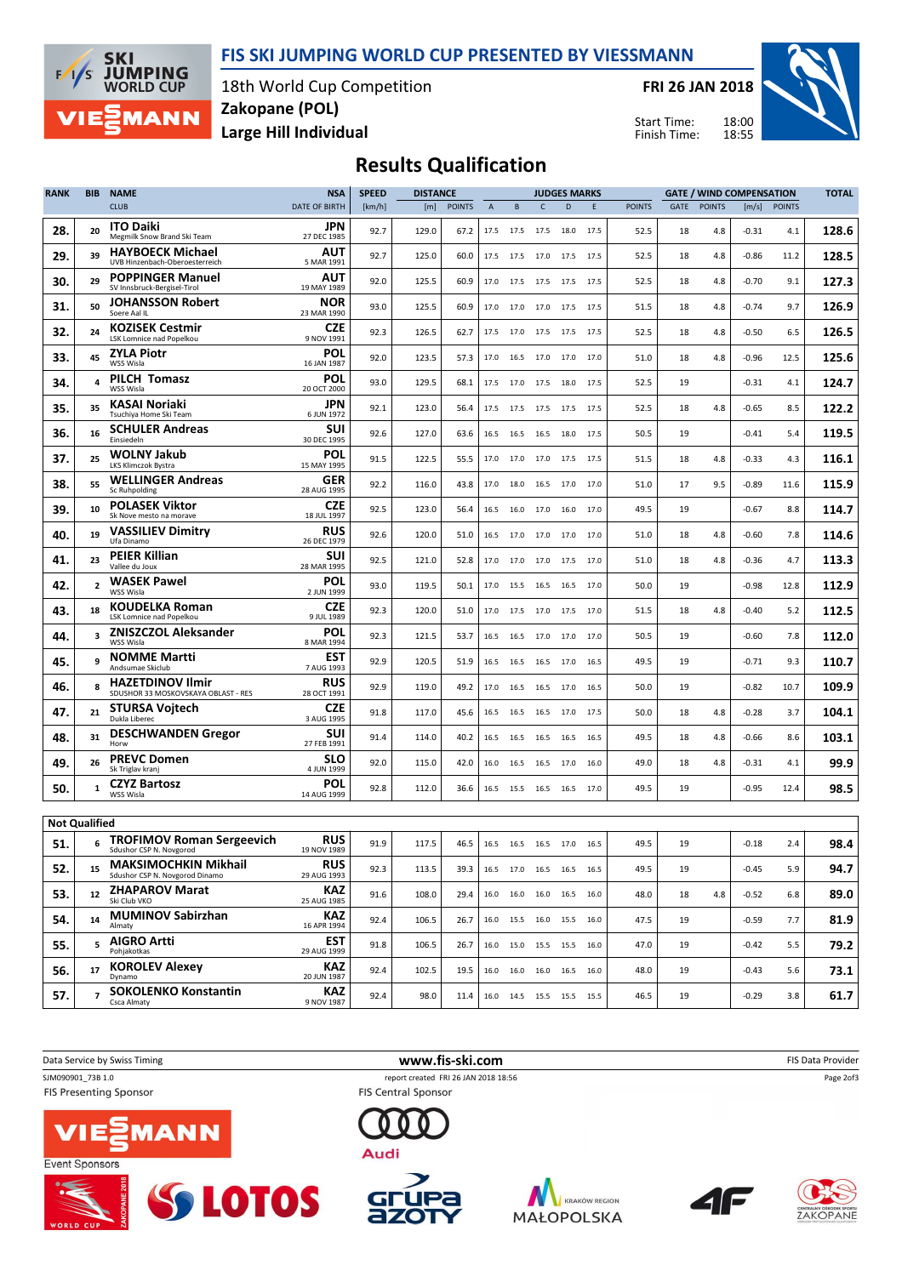FIS SKI JUMPING WORLD CUP PRESENTED BY VIESSMANN



18th World Cup Competition Large Hill Individual Zakopane (POL)

FRI 26 JAN 2018

Start Time: Finish Time:



## Results Qualification

| <b>RANK</b> | <b>BIB</b>                | <b>NAME</b>                                                    | <b>NSA</b>                       | <b>SPEED</b> | <b>DISTANCE</b> |               |                |      |                              | <b>JUDGES MARKS</b> |      |               |      |               | <b>GATE / WIND COMPENSATION</b> |               | <b>TOTAL</b> |
|-------------|---------------------------|----------------------------------------------------------------|----------------------------------|--------------|-----------------|---------------|----------------|------|------------------------------|---------------------|------|---------------|------|---------------|---------------------------------|---------------|--------------|
|             |                           | <b>CLUB</b>                                                    | DATE OF BIRTH                    | [km/h]       | [m]             | <b>POINTS</b> | $\overline{A}$ | B    | $\mathsf{C}$                 | D                   | E    | <b>POINTS</b> | GATE | <b>POINTS</b> | [m/s]                           | <b>POINTS</b> |              |
| 28.         | 20                        | <b>ITO Daiki</b><br>Megmilk Snow Brand Ski Team                | JPN<br>27 DEC 1985               | 92.7         | 129.0           | 67.2          | 17.5           |      | 17.5 17.5 18.0 17.5          |                     |      | 52.5          | 18   | 4.8           | $-0.31$                         | 4.1           | 128.6        |
| 29.         | 39                        | <b>HAYBOECK Michael</b><br>UVB Hinzenbach-Oberoesterreich      | AUT<br>5 MAR 1991                | 92.7         | 125.0           | 60.0          | 17.5           | 17.5 | 17.0                         | 17.5                | 17.5 | 52.5          | 18   | 4.8           | $-0.86$                         | 11.2          | 128.5        |
| 30.         | 29                        | <b>POPPINGER Manuel</b><br>SV Innsbruck-Bergisel-Tirol         | AUT<br>19 MAY 1989               | 92.0         | 125.5           | 60.9          | 17.0           | 17.5 | 17.5 17.5                    |                     | 17.5 | 52.5          | 18   | 4.8           | $-0.70$                         | 9.1           | 127.3        |
| 31.         | 50                        | <b>JOHANSSON Robert</b><br>Soere Aal IL                        | NOR<br>23 MAR 1990               | 93.0         | 125.5           | 60.9          | 17.0           | 17.0 | 17.0                         | 17.5                | 17.5 | 51.5          | 18   | 4.8           | $-0.74$                         | 9.7           | 126.9        |
| 32.         | 24                        | <b>KOZISEK Cestmir</b><br>LSK Lomnice nad Popelkou             | <b>CZE</b><br>9 NOV 1991         | 92.3         | 126.5           | 62.7          | 17.5           |      | 17.0 17.5 17.5 17.5          |                     |      | 52.5          | 18   | 4.8           | $-0.50$                         | 6.5           | 126.5        |
| 33.         | 45                        | <b>ZYLA Piotr</b><br>WSS Wisla                                 | <b>POL</b><br>16 JAN 1987        | 92.0         | 123.5           | 57.3          | 17.0           |      | 16.5 17.0 17.0               |                     | 17.0 | 51.0          | 18   | 4.8           | $-0.96$                         | 12.5          | 125.6        |
| 34.         | 4                         | <b>PILCH Tomasz</b><br>WSS Wisla                               | <b>POL</b><br>20 OCT 2000        | 93.0         | 129.5           | 68.1          | 17.5           | 17.0 | 17.5 18.0                    |                     | 17.5 | 52.5          | 19   |               | $-0.31$                         | 4.1           | 124.7        |
| 35.         | 35                        | KASAI Noriaki<br>Tsuchiya Home Ski Team                        | JPN<br>6 JUN 1972                | 92.1         | 123.0           | 56.4          | 17.5           | 17.5 | 17.5 17.5                    |                     | 17.5 | 52.5          | 18   | 4.8           | $-0.65$                         | 8.5           | 122.2        |
| 36.         | 16                        | <b>SCHULER Andreas</b><br>Einsiedeln                           | <b>SUI</b><br>30 DEC 1995        | 92.6         | 127.0           | 63.6          | 16.5           | 16.5 | 16.5                         | 18.0                | 17.5 | 50.5          | 19   |               | $-0.41$                         | 5.4           | 119.5        |
| 37.         | 25                        | <b>WOLNY Jakub</b><br>LKS Klimczok Bystra                      | POL<br>15 MAY 1995               | 91.5         | 122.5           | 55.5          | 17.0           | 17.0 | 17.0 17.5 17.5               |                     |      | 51.5          | 18   | 4.8           | $-0.33$                         | 4.3           | 116.1        |
| 38.         | 55                        | <b>WELLINGER Andreas</b><br><b>Sc Ruhpolding</b>               | GER<br>28 AUG 1995               | 92.2         | 116.0           | 43.8          | 17.0           | 18.0 | 16.5 17.0                    |                     | 17.0 | 51.0          | 17   | 9.5           | $-0.89$                         | 11.6          | 115.9        |
| 39.         | 10                        | <b>POLASEK Viktor</b><br>Sk Nove mesto na morave               | CZE<br>18 JUL 1997               | 92.5         | 123.0           | 56.4          | 16.5           | 16.0 | 17.0                         | 16.0                | 17.0 | 49.5          | 19   |               | $-0.67$                         | 8.8           | 114.7        |
| 40.         | 19                        | <b>VASSILIEV Dimitry</b><br>Ufa Dinamo                         | <b>RUS</b><br>26 DEC 1979        | 92.6         | 120.0           | 51.0          | 16.5           | 17.0 | 17.0                         | 17.0                | 17.0 | 51.0          | 18   | 4.8           | $-0.60$                         | 7.8           | 114.6        |
| 41.         | 23                        | <b>PEIER Killian</b><br>Vallee du Joux                         | <b>SUI</b><br>28 MAR 1995        | 92.5         | 121.0           | 52.8          | 17.0           |      | 17.0 17.0 17.5 17.0          |                     |      | 51.0          | 18   | 4.8           | $-0.36$                         | 4.7           | 113.3        |
| 42.         | $\overline{2}$            | <b>WASEK Pawel</b><br>WSS Wisla                                | <b>POL</b><br>2 JUN 1999         | 93.0         | 119.5           | 50.1          | 17.0           | 15.5 | 16.5 16.5 17.0               |                     |      | 50.0          | 19   |               | $-0.98$                         | 12.8          | 112.9        |
| 43.         | 18                        | <b>KOUDELKA Roman</b><br>LSK Lomnice nad Popelkou              | CZE<br>9 JUL 1989                | 92.3         | 120.0           | 51.0          | 17.0           | 17.5 | 17.0                         | 17.5                | 17.0 | 51.5          | 18   | 4.8           | $-0.40$                         | 5.2           | 112.5        |
| 44.         | 3                         | <b>ZNISZCZOL Aleksander</b><br>WSS Wisla                       | POL<br>8 MAR 1994                | 92.3         | 121.5           | 53.7          | 16.5           | 16.5 | 17.0                         | 17.0                | 17.0 | 50.5          | 19   |               | $-0.60$                         | 7.8           | 112.0        |
| 45.         |                           | <b>NOMME Martti</b><br>Andsumae Skiclub                        | <b>EST</b><br>7 AUG 1993         | 92.9         | 120.5           | 51.9          | 16.5           | 16.5 | 16.5                         | 17.0                | 16.5 | 49.5          | 19   |               | $-0.71$                         | 9.3           | 110.7        |
| 46.         |                           | <b>HAZETDINOV Ilmir</b><br>SDUSHOR 33 MOSKOVSKAYA OBLAST - RES | <b>RUS</b><br>28 OCT 1991        | 92.9         | 119.0           | 49.2          | 17.0           |      | 16.5 16.5 17.0 16.5          |                     |      | 50.0          | 19   |               | $-0.82$                         | 10.7          | 109.9        |
| 47.         | 21                        | <b>STURSA Vojtech</b><br>Dukla Liberec                         | <b>CZE</b><br>3 AUG 1995         | 91.8         | 117.0           | 45.6          | 16.5           | 16.5 | 16.5 17.0 17.5               |                     |      | 50.0          | 18   | 4.8           | $-0.28$                         | 3.7           | 104.1        |
| 48.         | 31                        | <b>DESCHWANDEN Gregor</b><br>Horw                              | <b>SUI</b><br>27 FEB 1991        | 91.4         | 114.0           | 40.2          | 16.5           |      | 16.5 16.5 16.5               |                     | 16.5 | 49.5          | 18   | 4.8           | $-0.66$                         | 8.6           | 103.1        |
| 49.         | 26                        | <b>PREVC Domen</b><br>Sk Triglav kranj                         | SLO<br>4 JUN 1999                | 92.0         | 115.0           | 42.0          | 16.0           | 16.5 | 16.5                         | 17.0                | 16.0 | 49.0          | 18   | 4.8           | $-0.31$                         | 4.1           | 99.9         |
| 50.         | 1                         | <b>CZYZ Bartosz</b><br>WSS Wisla                               | <b>POL</b><br>14 AUG 1999        | 92.8         | 112.0           | 36.6          | 16.5           |      | 15.5 16.5 16.5               |                     | 17.0 | 49.5          | 19   |               | $-0.95$                         | 12.4          | 98.5         |
|             |                           |                                                                |                                  |              |                 |               |                |      |                              |                     |      |               |      |               |                                 |               |              |
| 51.         | <b>Not Qualified</b><br>6 | <b>TROFIMOV Roman Sergeevich</b>                               | <b>RUS</b>                       | 91.9         | 117.5           | 46.5          | 16.5           |      | 16.5 16.5 17.0 16.5          |                     |      | 49.5          | 19   |               | $-0.18$                         | 2.4           | 98.4         |
| 52.         | 15                        | Sdushor CSP N. Novgorod<br><b>MAKSIMOCHKIN Mikhail</b>         | 19 NOV 1989<br><b>RUS</b>        | 92.3         | 113.5           | 39.3          |                |      | 16.5 17.0 16.5 16.5 16.5     |                     |      | 49.5          | 19   |               | $-0.45$                         | 5.9           | 94.7         |
| 53.         | 12                        | Sdushor CSP N. Novgorod Dinamo<br><b>ZHAPAROV Marat</b>        | 29 AUG 1993<br><b>KAZ</b>        | 91.6         | 108.0           | 29.4          |                |      | 16.0  16.0  16.0  16.5  16.0 |                     |      | 48.0          | 18   | 4.8           | $-0.52$                         | 6.8           | 89.0         |
| 54.         | 14                        | Ski Club VKO<br><b>MUMINOV Sabirzhan</b>                       | 25 AUG 1985<br>KAZ               | 92.4         | 106.5           | 26.7          |                |      | 16.0  15.5  16.0  15.5  16.0 |                     |      | 47.5          | 19   |               | $-0.59$                         | 7.7           | 81.9         |
| 55.         | 5.                        | Almaty<br><b>AIGRO Artti</b>                                   | 16 APR 1994<br><b>EST</b>        | 91.8         | 106.5           | 26.7          |                |      | 16.0 15.0 15.5 15.5 16.0     |                     |      | 47.0          | 19   |               | $-0.42$                         | 5.5           | 79.2         |
| 56.         | 17                        | Pohjakotkas<br><b>KOROLEV Alexey</b>                           | 29 AUG 1999<br>KAZ               | 92.4         | 102.5           | 19.5          |                |      | 16.0  16.0  16.0  16.5  16.0 |                     |      | 48.0          | 19   |               | $-0.43$                         | 5.6           | 73.1         |
| 57.         | $\overline{ }$            | Dynamo<br><b>SOKOLENKO Konstantin</b><br>Csca Almaty           | 20 JUN 1987<br>KAZ<br>9 NOV 1987 | 92.4         | 98.0            | 11.4          |                |      | 16.0 14.5 15.5 15.5 15.5     |                     |      | 46.5          | 19   |               | $-0.29$                         | 3.8           | 61.7         |

Data Service by Swiss Timing **EXECUTE:** The Service by Swiss Timing FIS Data Provider SJM090901\_73B 1.0 report created FRI 26 JAN 2018 18:56 Page 2of3**FIS Presenting Sponsor FIS Central Sponsor** MANN Audi Event Sponsors